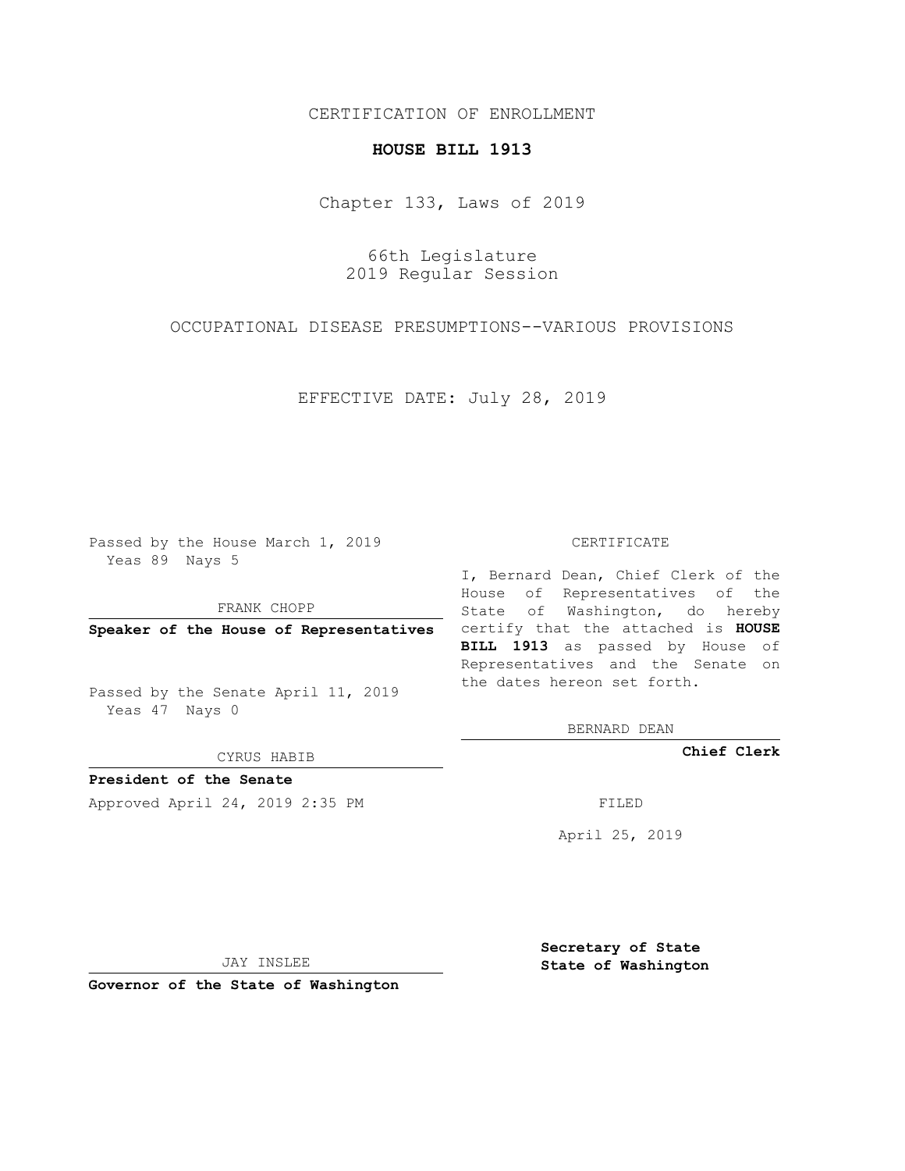## CERTIFICATION OF ENROLLMENT

## **HOUSE BILL 1913**

Chapter 133, Laws of 2019

66th Legislature 2019 Regular Session

OCCUPATIONAL DISEASE PRESUMPTIONS--VARIOUS PROVISIONS

EFFECTIVE DATE: July 28, 2019

Passed by the House March 1, 2019 Yeas 89 Nays 5

FRANK CHOPP

Passed by the Senate April 11, 2019 Yeas 47 Nays 0

CYRUS HABIB

**President of the Senate**

Approved April 24, 2019 2:35 PM FILED

#### CERTIFICATE

**Speaker of the House of Representatives** certify that the attached is **HOUSE** I, Bernard Dean, Chief Clerk of the House of Representatives of the State of Washington, do hereby **BILL 1913** as passed by House of Representatives and the Senate on the dates hereon set forth.

BERNARD DEAN

**Chief Clerk**

April 25, 2019

JAY INSLEE

**Governor of the State of Washington**

**Secretary of State State of Washington**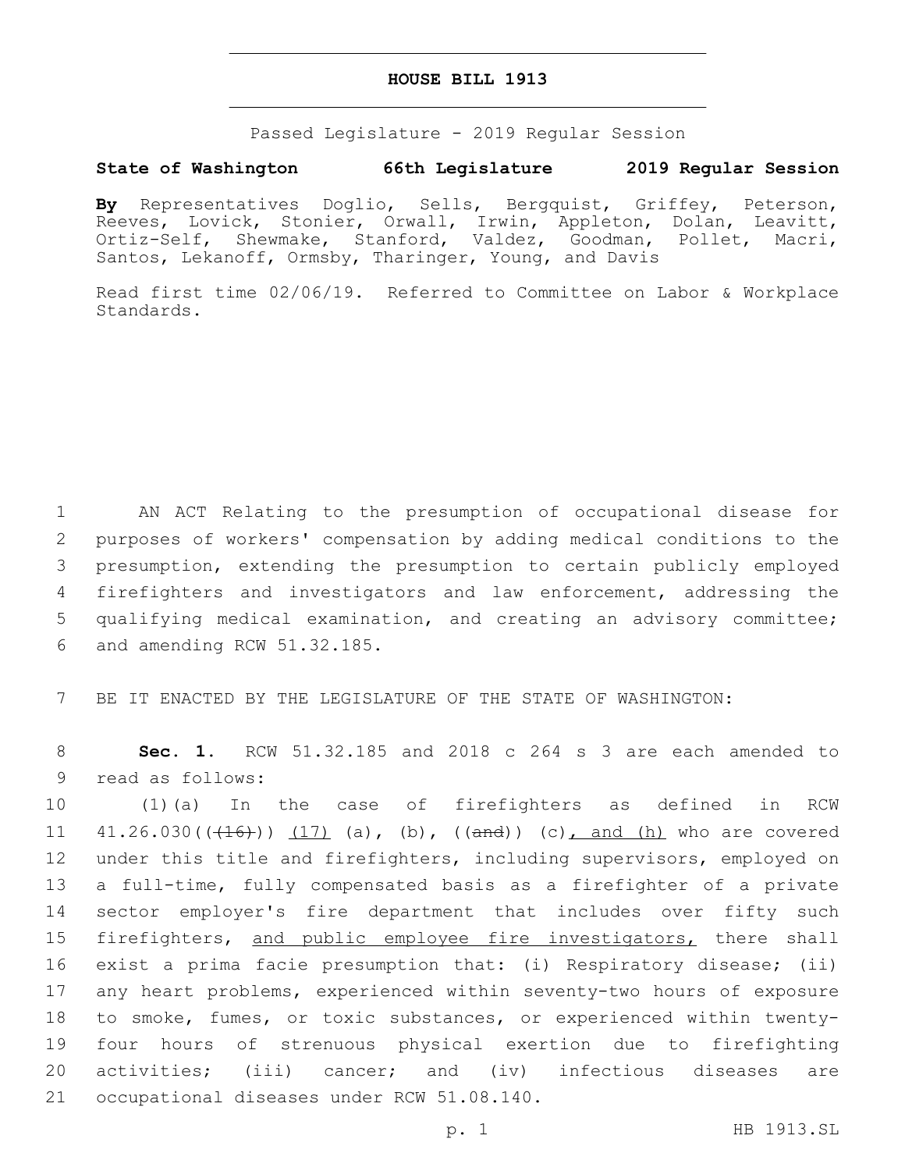### **HOUSE BILL 1913**

Passed Legislature - 2019 Regular Session

# **State of Washington 66th Legislature 2019 Regular Session**

**By** Representatives Doglio, Sells, Bergquist, Griffey, Peterson, Reeves, Lovick, Stonier, Orwall, Irwin, Appleton, Dolan, Leavitt, Ortiz-Self, Shewmake, Stanford, Valdez, Goodman, Pollet, Macri, Santos, Lekanoff, Ormsby, Tharinger, Young, and Davis

Read first time 02/06/19. Referred to Committee on Labor & Workplace Standards.

 AN ACT Relating to the presumption of occupational disease for purposes of workers' compensation by adding medical conditions to the presumption, extending the presumption to certain publicly employed firefighters and investigators and law enforcement, addressing the qualifying medical examination, and creating an advisory committee; 6 and amending RCW 51.32.185.

7 BE IT ENACTED BY THE LEGISLATURE OF THE STATE OF WASHINGTON:

8 **Sec. 1.** RCW 51.32.185 and 2018 c 264 s 3 are each amended to 9 read as follows:

 (1)(a) In the case of firefighters as defined in RCW  $41.26.030((+16)) (17)$  (a), (b),  $(\text{and}) (c)$ , and (h) who are covered under this title and firefighters, including supervisors, employed on a full-time, fully compensated basis as a firefighter of a private sector employer's fire department that includes over fifty such 15 firefighters, and public employee fire investigators, there shall exist a prima facie presumption that: (i) Respiratory disease; (ii) any heart problems, experienced within seventy-two hours of exposure to smoke, fumes, or toxic substances, or experienced within twenty- four hours of strenuous physical exertion due to firefighting activities; (iii) cancer; and (iv) infectious diseases are 21 occupational diseases under RCW 51.08.140.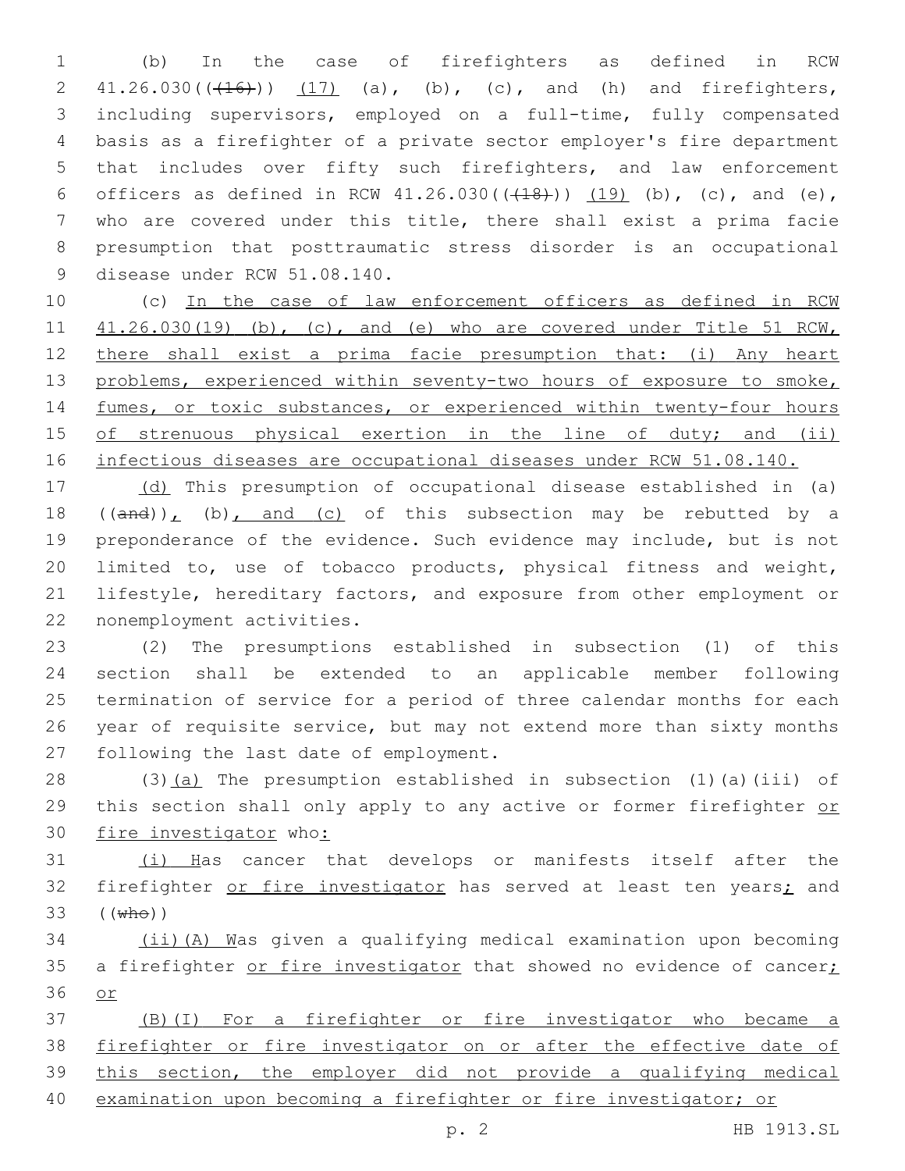(b) In the case of firefighters as defined in RCW  $41.26.030((\text{+}16\text{+}))$   $(17)$  (a), (b), (c), and (h) and firefighters, including supervisors, employed on a full-time, fully compensated basis as a firefighter of a private sector employer's fire department that includes over fifty such firefighters, and law enforcement 6 officers as defined in RCW  $41.26.030((\frac{18}{1}))(\frac{19}{19})$  (b), (c), and (e), who are covered under this title, there shall exist a prima facie presumption that posttraumatic stress disorder is an occupational 9 disease under RCW 51.08.140.

10 (c) In the case of law enforcement officers as defined in RCW 11 41.26.030(19) (b), (c), and (e) who are covered under Title 51 RCW, 12 there shall exist a prima facie presumption that: (i) Any heart 13 problems, experienced within seventy-two hours of exposure to smoke, 14 fumes, or toxic substances, or experienced within twenty-four hours 15 of strenuous physical exertion in the line of duty; and (ii) 16 infectious diseases are occupational diseases under RCW 51.08.140.

 (d) This presumption of occupational disease established in (a)  $((and))_L$  (b), and (c) of this subsection may be rebutted by a preponderance of the evidence. Such evidence may include, but is not limited to, use of tobacco products, physical fitness and weight, lifestyle, hereditary factors, and exposure from other employment or 22 nonemployment activities.

 (2) The presumptions established in subsection (1) of this section shall be extended to an applicable member following termination of service for a period of three calendar months for each year of requisite service, but may not extend more than sixty months 27 following the last date of employment.

28 (3)(a) The presumption established in subsection (1)(a)(iii) of 29 this section shall only apply to any active or former firefighter or 30 fire investigator who:

31 (i) Has cancer that develops or manifests itself after the 32 firefighter or fire investigator has served at least ten years; and 33 ((who))

34 (ii)(A) Was given a qualifying medical examination upon becoming 35 a firefighter or fire investigator that showed no evidence of cancer; 36 or

 (B)(I) For a firefighter or fire investigator who became a firefighter or fire investigator on or after the effective date of this section, the employer did not provide a qualifying medical examination upon becoming a firefighter or fire investigator; or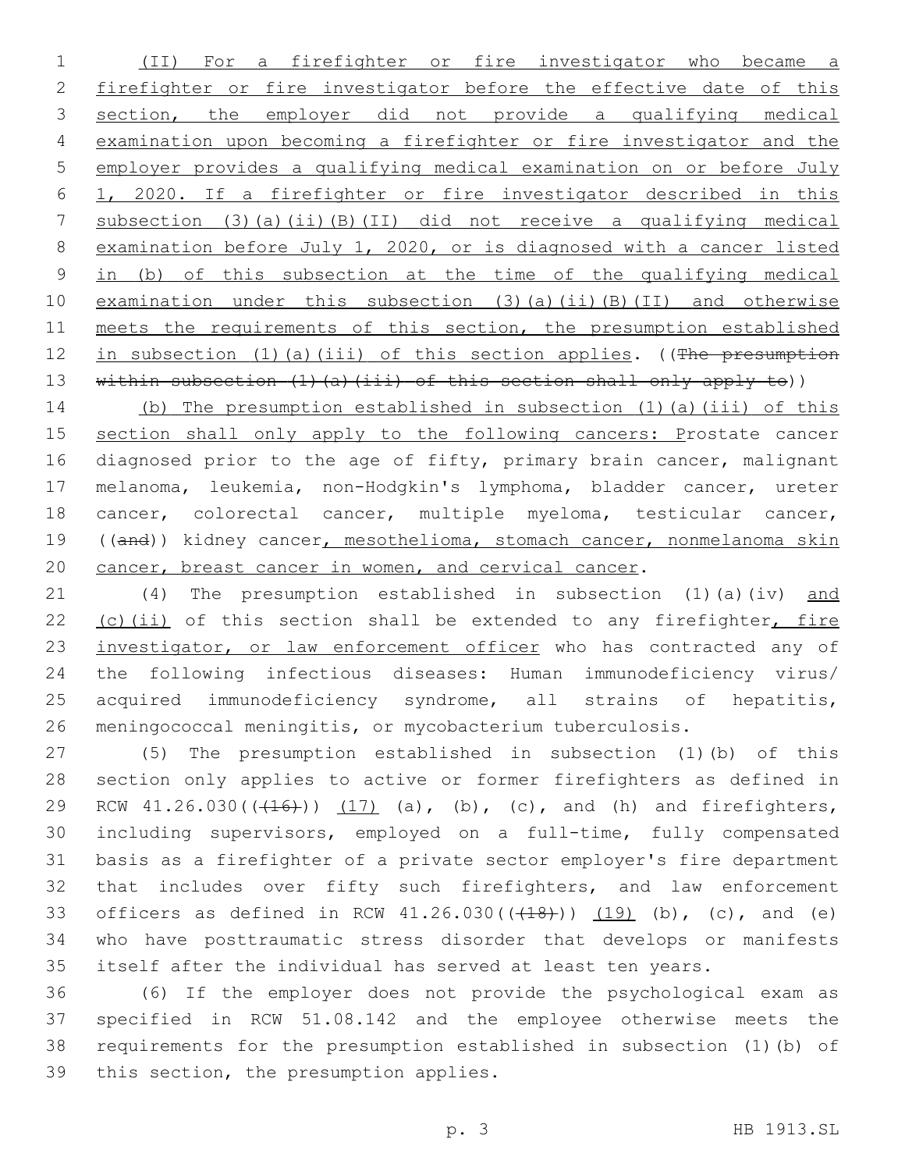(II) For a firefighter or fire investigator who became a 2 firefighter or fire investigator before the effective date of this section, the employer did not provide a qualifying medical examination upon becoming a firefighter or fire investigator and the employer provides a qualifying medical examination on or before July 1, 2020. If a firefighter or fire investigator described in this subsection (3)(a)(ii)(B)(II) did not receive a qualifying medical examination before July 1, 2020, or is diagnosed with a cancer listed in (b) of this subsection at the time of the qualifying medical examination under this subsection (3)(a)(ii)(B)(II) and otherwise 11 meets the requirements of this section, the presumption established 12 in subsection (1)(a)(iii) of this section applies. ((The presumption 13 within subsection (1)(a)(iii) of this section shall only apply to))

 (b) The presumption established in subsection (1)(a)(iii) of this 15 section shall only apply to the following cancers: Prostate cancer diagnosed prior to the age of fifty, primary brain cancer, malignant melanoma, leukemia, non-Hodgkin's lymphoma, bladder cancer, ureter cancer, colorectal cancer, multiple myeloma, testicular cancer, ((and)) kidney cancer, mesothelioma, stomach cancer, nonmelanoma skin 20 cancer, breast cancer in women, and cervical cancer.

 (4) The presumption established in subsection (1)(a)(iv) and (c)(ii) of this section shall be extended to any firefighter, fire 23 investigator, or law enforcement officer who has contracted any of the following infectious diseases: Human immunodeficiency virus/ acquired immunodeficiency syndrome, all strains of hepatitis, meningococcal meningitis, or mycobacterium tuberculosis.

 (5) The presumption established in subsection (1)(b) of this section only applies to active or former firefighters as defined in 29 RCW  $41.26.030((+16))$   $(17)$   $(a)$ ,  $(b)$ ,  $(c)$ , and  $(h)$  and firefighters, including supervisors, employed on a full-time, fully compensated basis as a firefighter of a private sector employer's fire department 32 that includes over fifty such firefighters, and law enforcement 33 officers as defined in RCW  $41.26.030((\text{+}18\text{+})) (19)$  (b), (c), and (e) who have posttraumatic stress disorder that develops or manifests itself after the individual has served at least ten years.

 (6) If the employer does not provide the psychological exam as specified in RCW 51.08.142 and the employee otherwise meets the requirements for the presumption established in subsection (1)(b) of 39 this section, the presumption applies.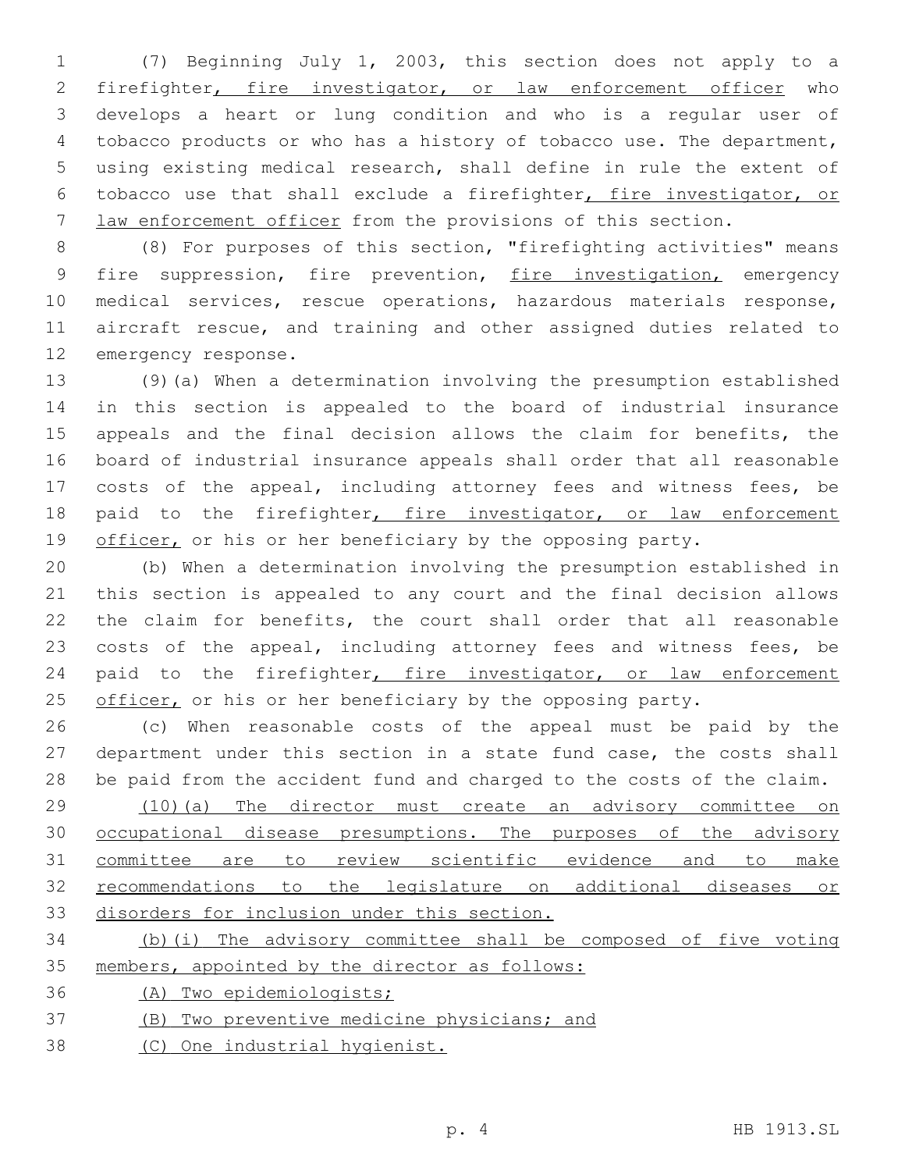(7) Beginning July 1, 2003, this section does not apply to a 2 firefighter, fire investigator, or law enforcement officer who develops a heart or lung condition and who is a regular user of tobacco products or who has a history of tobacco use. The department, using existing medical research, shall define in rule the extent of tobacco use that shall exclude a firefighter, fire investigator, or law enforcement officer from the provisions of this section.

 (8) For purposes of this section, "firefighting activities" means 9 fire suppression, fire prevention, fire investigation, emergency medical services, rescue operations, hazardous materials response, aircraft rescue, and training and other assigned duties related to 12 emergency response.

 (9)(a) When a determination involving the presumption established in this section is appealed to the board of industrial insurance appeals and the final decision allows the claim for benefits, the board of industrial insurance appeals shall order that all reasonable costs of the appeal, including attorney fees and witness fees, be 18 paid to the firefighter, fire investigator, or law enforcement 19 officer, or his or her beneficiary by the opposing party.

 (b) When a determination involving the presumption established in this section is appealed to any court and the final decision allows the claim for benefits, the court shall order that all reasonable 23 costs of the appeal, including attorney fees and witness fees, be 24 paid to the firefighter, fire investigator, or law enforcement 25 officer, or his or her beneficiary by the opposing party.

 (c) When reasonable costs of the appeal must be paid by the department under this section in a state fund case, the costs shall be paid from the accident fund and charged to the costs of the claim.

 (10)(a) The director must create an advisory committee on occupational disease presumptions. The purposes of the advisory committee are to review scientific evidence and to make recommendations to the legislature on additional diseases or disorders for inclusion under this section.

 (b)(i) The advisory committee shall be composed of five voting members, appointed by the director as follows:

(A) Two epidemiologists;

(B) Two preventive medicine physicians; and

(C) One industrial hygienist.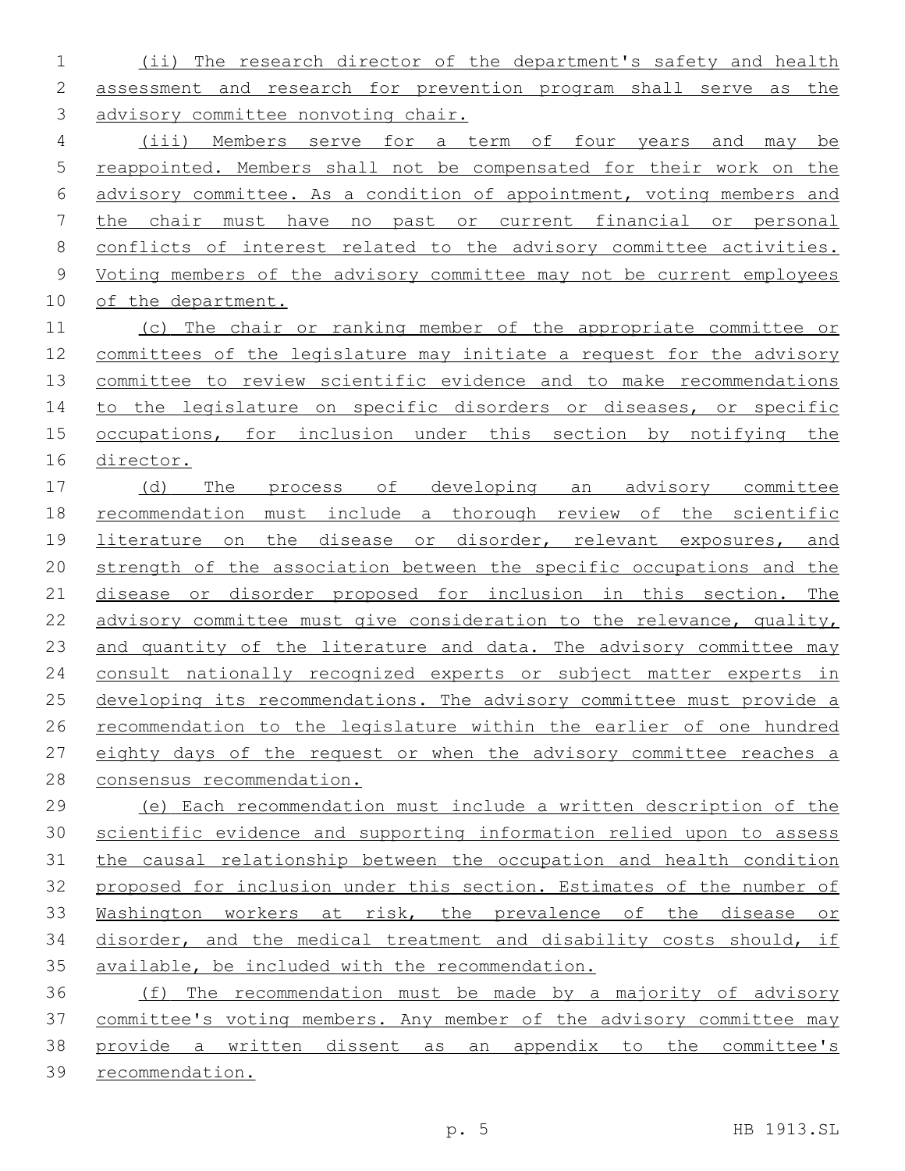(ii) The research director of the department's safety and health assessment and research for prevention program shall serve as the advisory committee nonvoting chair.

 (iii) Members serve for a term of four years and may be reappointed. Members shall not be compensated for their work on the advisory committee. As a condition of appointment, voting members and the chair must have no past or current financial or personal conflicts of interest related to the advisory committee activities. Voting members of the advisory committee may not be current employees of the department.

11 (c) The chair or ranking member of the appropriate committee or committees of the legislature may initiate a request for the advisory committee to review scientific evidence and to make recommendations 14 to the legislature on specific disorders or diseases, or specific occupations, for inclusion under this section by notifying the director.

 (d) The process of developing an advisory committee recommendation must include a thorough review of the scientific literature on the disease or disorder, relevant exposures, and strength of the association between the specific occupations and the disease or disorder proposed for inclusion in this section. The advisory committee must give consideration to the relevance, quality, 23 and quantity of the literature and data. The advisory committee may 24 consult nationally recognized experts or subject matter experts in 25 developing its recommendations. The advisory committee must provide a recommendation to the legislature within the earlier of one hundred eighty days of the request or when the advisory committee reaches a consensus recommendation.

 (e) Each recommendation must include a written description of the scientific evidence and supporting information relied upon to assess the causal relationship between the occupation and health condition proposed for inclusion under this section. Estimates of the number of Washington workers at risk, the prevalence of the disease or disorder, and the medical treatment and disability costs should, if available, be included with the recommendation.

 (f) The recommendation must be made by a majority of advisory committee's voting members. Any member of the advisory committee may provide a written dissent as an appendix to the committee's recommendation.